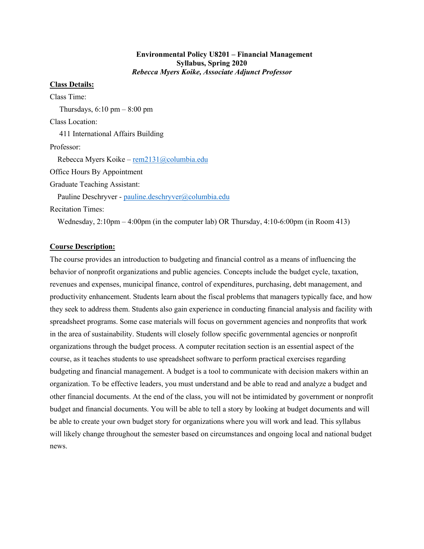#### **Environmental Policy U8201 – Financial Management Syllabus, Spring 2020** *Rebecca Myers Koike, Associate Adjunct Professor*

### **Class Details:**

Class Time: Thursdays,  $6:10 \text{ pm} - 8:00 \text{ pm}$ Class Location: 411 International Affairs Building Professor: Rebecca Myers Koike – rem2131@columbia.edu Office Hours By Appointment Graduate Teaching Assistant: Pauline Deschryver - pauline.deschryver@columbia.edu Recitation Times:

Wednesday,  $2:10$ pm  $-4:00$ pm (in the computer lab) OR Thursday,  $4:10-6:00$ pm (in Room 413)

#### **Course Description:**

The course provides an introduction to budgeting and financial control as a means of influencing the behavior of nonprofit organizations and public agencies. Concepts include the budget cycle, taxation, revenues and expenses, municipal finance, control of expenditures, purchasing, debt management, and productivity enhancement. Students learn about the fiscal problems that managers typically face, and how they seek to address them. Students also gain experience in conducting financial analysis and facility with spreadsheet programs. Some case materials will focus on government agencies and nonprofits that work in the area of sustainability. Students will closely follow specific governmental agencies or nonprofit organizations through the budget process. A computer recitation section is an essential aspect of the course, as it teaches students to use spreadsheet software to perform practical exercises regarding budgeting and financial management. A budget is a tool to communicate with decision makers within an organization. To be effective leaders, you must understand and be able to read and analyze a budget and other financial documents. At the end of the class, you will not be intimidated by government or nonprofit budget and financial documents. You will be able to tell a story by looking at budget documents and will be able to create your own budget story for organizations where you will work and lead. This syllabus will likely change throughout the semester based on circumstances and ongoing local and national budget news.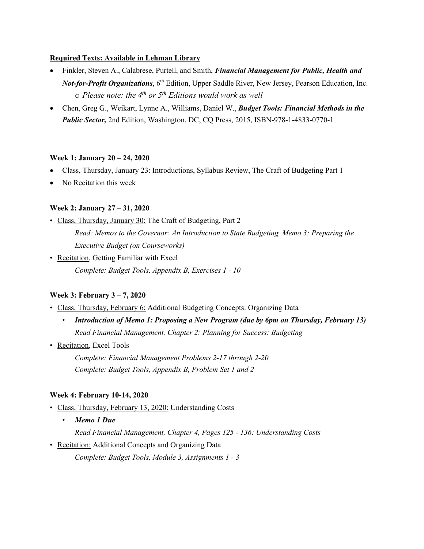# **Required Texts: Available in Lehman Library**

- Finkler, Steven A., Calabrese, Purtell, and Smith, *Financial Management for Public, Health and Not-for-Profit Organizations*, 6<sup>th</sup> Edition, Upper Saddle River, New Jersey, Pearson Education, Inc. o *Please note: the 4th or 5th Editions would work as well*
- Chen, Greg G., Weikart, Lynne A., Williams, Daniel W., *Budget Tools: Financial Methods in the Public Sector,* 2nd Edition, Washington, DC, CQ Press, 2015, ISBN-978-1-4833-0770-1

# **Week 1: January 20 – 24, 2020**

- Class, Thursday, January 23: Introductions, Syllabus Review, The Craft of Budgeting Part 1
- No Recitation this week

# **Week 2: January 27 – 31, 2020**

- Class, Thursday, January 30: The Craft of Budgeting, Part 2 *Read: Memos to the Governor: An Introduction to State Budgeting, Memo 3: Preparing the Executive Budget (on Courseworks)*
- Recitation, Getting Familiar with Excel *Complete: Budget Tools, Appendix B, Exercises 1 - 10*

# **Week 3: February 3 – 7, 2020**

- Class, Thursday, February 6: Additional Budgeting Concepts: Organizing Data
	- *Introduction of Memo 1: Proposing a New Program (due by 6pm on Thursday, February 13) Read Financial Management, Chapter 2: Planning for Success: Budgeting*
- Recitation, Excel Tools

*Complete: Financial Management Problems 2-17 through 2-20 Complete: Budget Tools, Appendix B, Problem Set 1 and 2*

### **Week 4: February 10-14, 2020**

- Class, Thursday, February 13, 2020: Understanding Costs
	- *Memo 1 Due*

*Read Financial Management, Chapter 4, Pages 125 - 136: Understanding Costs*

• Recitation: Additional Concepts and Organizing Data

*Complete: Budget Tools, Module 3, Assignments 1 - 3*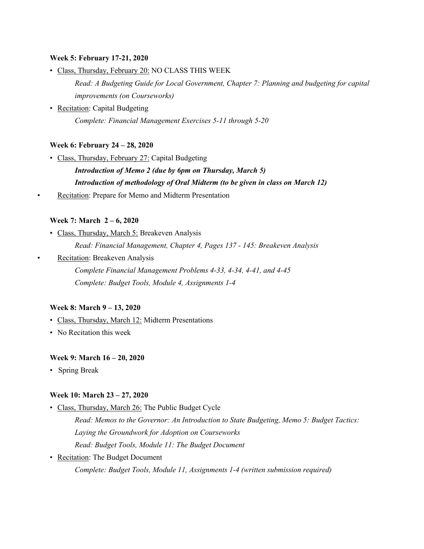#### **Week 5: February 17-21, 2020**

• Class, Thursday, February 20: NO CLASS THIS WEEK

*Read: A Budgeting Guide for Local Government, Chapter 7: Planning and budgeting for capital improvements (on Courseworks)*

• Recitation: Capital Budgeting *Complete: Financial Management Exercises 5-11 through 5-20*

### **Week 6: February 24 – 28, 2020**

• Class, Thursday, February 27: Capital Budgeting

*Introduction of Memo 2 (due by 6pm on Thursday, March 5) Introduction of methodology of Oral Midterm (to be given in class on March 12)* 

Recitation: Prepare for Memo and Midterm Presentation

### **Week 7: March 2 – 6, 2020**

- Class, Thursday, March 5: Breakeven Analysis *Read: Financial Management, Chapter 4, Pages 137 - 145: Breakeven Analysis*
- Recitation: Breakeven Analysis

*Complete Financial Management Problems 4-33, 4-34, 4-41, and 4-45 Complete: Budget Tools, Module 4, Assignments 1-4*

#### **Week 8: March 9 – 13, 2020**

- Class, Thursday, March 12: Midterm Presentations
- No Recitation this week

#### **Week 9: March 16 – 20, 2020**

• Spring Break

#### **Week 10: March 23 – 27, 2020**

• Class, Thursday, March 26: The Public Budget Cycle

*Read: Memos to the Governor: An Introduction to State Budgeting, Memo 5: Budget Tactics: Laying the Groundwork for Adoption on Courseworks*

- *Read: Budget Tools, Module 11: The Budget Document*
- Recitation: The Budget Document

*Complete: Budget Tools, Module 11, Assignments 1-4 (written submission required)*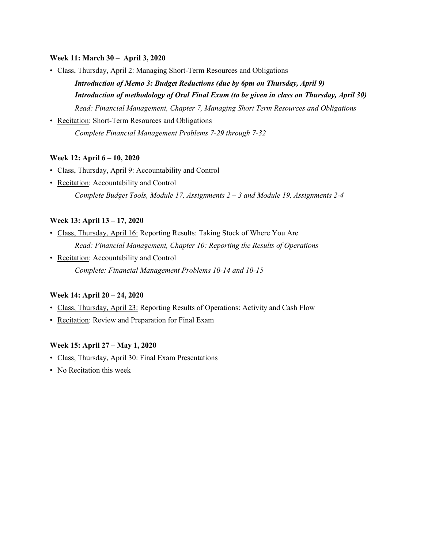# **Week 11: March 30 – April 3, 2020**

• Class, Thursday, April 2: Managing Short-Term Resources and Obligations

*Introduction of Memo 3: Budget Reductions (due by 6pm on Thursday, April 9) Introduction of methodology of Oral Final Exam (to be given in class on Thursday, April 30) Read: Financial Management, Chapter 7, Managing Short Term Resources and Obligations*

• Recitation: Short-Term Resources and Obligations *Complete Financial Management Problems 7-29 through 7-32*

# **Week 12: April 6 – 10, 2020**

- Class, Thursday, April 9: Accountability and Control
- Recitation: Accountability and Control *Complete Budget Tools, Module 17, Assignments 2 – 3 and Module 19, Assignments 2-4*

# **Week 13: April 13 – 17, 2020**

- Class, Thursday, April 16: Reporting Results: Taking Stock of Where You Are *Read: Financial Management, Chapter 10: Reporting the Results of Operations*
- Recitation: Accountability and Control *Complete: Financial Management Problems 10-14 and 10-15*

### **Week 14: April 20 – 24, 2020**

- Class, Thursday, April 23: Reporting Results of Operations: Activity and Cash Flow
- Recitation: Review and Preparation for Final Exam

### **Week 15: April 27 – May 1, 2020**

- Class, Thursday, April 30: Final Exam Presentations
- No Recitation this week